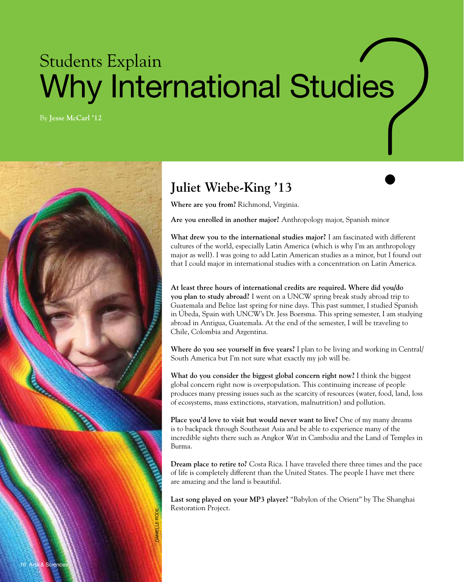## Students Explain Why International Studies  $\mathsf{dies} \left( \begin{array}{c} \begin{smallmatrix} \bullet & \bullet \\ \bullet & \bullet \end{smallmatrix} \\ \bullet & \bullet \\ \bullet & \bullet \end{array} \end{array} \right)$

By **Jesse McCarl '12**



## **Juliet Wiebe-King '13**

**Where are you from?** Richmond, Virginia.

**Are you enrolled in another major?** Anthropology major, Spanish minor

**What drew you to the international studies major?**  I am fascinated with different cultures of the world, especially Latin America (which is why I'm an anthropology major as well). I was going to add Latin American studies as a minor, but I found out that I could major in international studies with a concentration on Latin America.

**At least three hours of international credits are required. Where did you/do you plan to study abroad?** I went on a UNCW spring break study abroad trip to Guatemala and Belize last spring for nine days. This past summer, I studied Spanish in Úbeda, Spain with UNCW's Dr. Jess Boersma. This spring semester, I am studying abroad in Antigua, Guatemala. At the end of the semester, I will be traveling to Chile, Colombia and Argentina.

**Where do you see yourself in five years?** I plan to be living and working in Central/ South America but I'm not sure what exactly my job will be.

**What do you consider the biggest global concern right now?** I think the biggest global concern right now is overpopulation. This continuing increase of people produces many pressing issues such as the scarcity of resources (water, food, land, loss of ecosystems, mass extinctions, starvation, malnutrition) and pollution.

**Place you'd love to visit but would never want to live?** One of my many dreams is to backpack through Southeast Asia and be able to experience many of the incredible sights there such as Angkor Wat in Cambodia and the Land of Temples in Burma.

**Dream place to retire to?** Costa Rica. I have traveled there three times and the pace of life is completely different than the United States. The people I have met there are amazing and the land is beautiful.

**Last song played on your MP3 player?** "Babylon of the Orient" by The Shanghai Restoration Project.